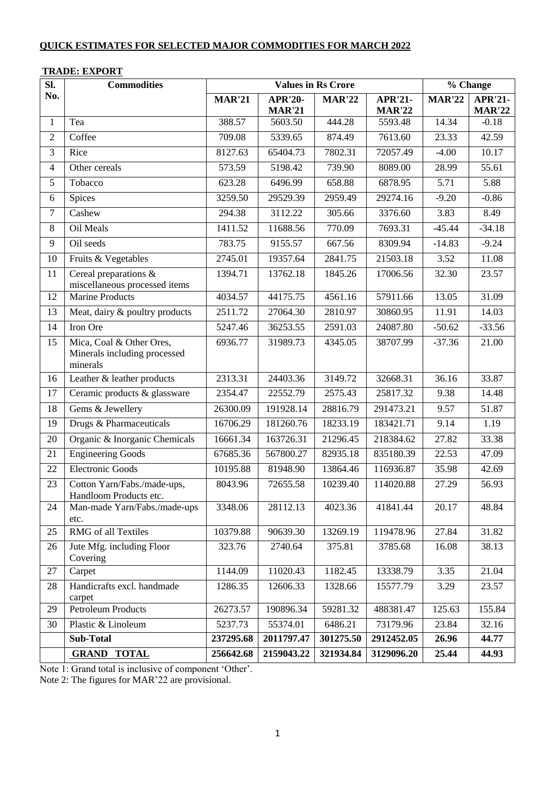| Sl.            | <b>Commodities</b>                                                   |               | <b>Values in Rs Crore</b> | $\overline{\frac{6}{}}$ Change |                |               |                |
|----------------|----------------------------------------------------------------------|---------------|---------------------------|--------------------------------|----------------|---------------|----------------|
| No.            |                                                                      | <b>MAR'21</b> | <b>APR'20-</b>            | <b>MAR'22</b>                  | <b>APR'21-</b> | <b>MAR'22</b> | <b>APR'21-</b> |
|                |                                                                      |               | <b>MAR'21</b>             | 444.28                         | <b>MAR'22</b>  | 14.34         | <b>MAR'22</b>  |
| 1              | Tea<br>Coffee                                                        | 388.57        | 5603.50                   |                                | 5593.48        |               | $-0.18$        |
| $\overline{2}$ |                                                                      | 709.08        | 5339.65                   | 874.49                         | 7613.60        | 23.33         | 42.59          |
| $\overline{3}$ | Rice                                                                 | 8127.63       | 65404.73                  | 7802.31                        | 72057.49       | $-4.00$       | 10.17          |
| $\overline{4}$ | Other cereals                                                        | 573.59        | 5198.42                   | 739.90                         | 8089.00        | 28.99         | 55.61          |
| 5              | Tobacco                                                              | 623.28        | 6496.99                   | 658.88                         | 6878.95        | 5.71          | 5.88           |
| 6              | Spices                                                               | 3259.50       | 29529.39                  | 2959.49                        | 29274.16       | $-9.20$       | $-0.86$        |
| $\overline{7}$ | Cashew                                                               | 294.38        | 3112.22                   | 305.66                         | 3376.60        | 3.83          | 8.49           |
| $8\,$          | Oil Meals                                                            | 1411.52       | 11688.56                  | 770.09                         | 7693.31        | $-45.44$      | $-34.18$       |
| 9              | $\overline{O}$ il seeds                                              | 783.75        | 9155.57                   | 667.56                         | 8309.94        | $-14.83$      | $-9.24$        |
| 10             | Fruits & Vegetables                                                  | 2745.01       | 19357.64                  | 2841.75                        | 21503.18       | 3.52          | 11.08          |
| 11             | Cereal preparations &<br>miscellaneous processed items               | 1394.71       | 13762.18                  | 1845.26                        | 17006.56       | 32.30         | 23.57          |
| 12             | <b>Marine Products</b>                                               | 4034.57       | 44175.75                  | 4561.16                        | 57911.66       | 13.05         | 31.09          |
| 13             | Meat, dairy & poultry products                                       | 2511.72       | 27064.30                  | 2810.97                        | 30860.95       | 11.91         | 14.03          |
| 14             | Iron Ore                                                             | 5247.46       | 36253.55                  | 2591.03                        | 24087.80       | $-50.62$      | $-33.56$       |
| 15             | Mica, Coal & Other Ores,<br>Minerals including processed<br>minerals | 6936.77       | 31989.73                  | 4345.05                        | 38707.99       | $-37.36$      | 21.00          |
| 16             | Leather & leather products                                           | 2313.31       | 24403.36                  | 3149.72                        | 32668.31       | 36.16         | 33.87          |
| 17             | Ceramic products & glassware                                         | 2354.47       | 22552.79                  | 2575.43                        | 25817.32       | 9.38          | 14.48          |
| 18             | Gems & Jewellery                                                     | 26300.09      | 191928.14                 | 28816.79                       | 291473.21      | 9.57          | 51.87          |
| 19             | Drugs & Pharmaceuticals                                              | 16706.29      | 181260.76                 | 18233.19                       | 183421.71      | 9.14          | 1.19           |
| 20             | Organic & Inorganic Chemicals                                        | 16661.34      | 163726.31                 | 21296.45                       | 218384.62      | 27.82         | 33.38          |
| 21             | <b>Engineering Goods</b>                                             | 67685.36      | 567800.27                 | 82935.18                       | 835180.39      | 22.53         | 47.09          |
| 22             | <b>Electronic Goods</b>                                              | 10195.88      | 81948.90                  | 13864.46                       | 116936.87      | 35.98         | 42.69          |
| 23             | Cotton Yarn/Fabs./made-ups,<br>Handloom Products etc.                | 8043.96       | 72655.58                  | 10239.40                       | 114020.88      | 27.29         | 56.93          |
| 24             | Man-made Yarn/Fabs./made-ups<br>etc.                                 | 3348.06       | 28112.13                  | 4023.36                        | 41841.44       | 20.17         | 48.84          |
| 25             | <b>RMG</b> of all Textiles                                           | 10379.88      | 90639.30                  | 13269.19                       | 119478.96      | 27.84         | 31.82          |
| 26             | Jute Mfg. including Floor<br>Covering                                | 323.76        | 2740.64                   | 375.81                         | 3785.68        | 16.08         | 38.13          |
| $27\,$         | Carpet                                                               | 1144.09       | 11020.43                  | 1182.45                        | 13338.79       | 3.35          | 21.04          |
| 28             | Handicrafts excl. handmade<br>carpet                                 | 1286.35       | 12606.33                  | 1328.66                        | 15577.79       | 3.29          | 23.57          |
| 29             | Petroleum Products                                                   | 26273.57      | 190896.34                 | 59281.32                       | 488381.47      | 125.63        | 155.84         |
| 30             | Plastic & Linoleum                                                   | 5237.73       | 55374.01                  | 6486.21                        | 73179.96       | 23.84         | 32.16          |
|                | <b>Sub-Total</b>                                                     | 237295.68     | 2011797.47                | 301275.50                      | 2912452.05     | 26.96         | 44.77          |
|                | <b>TOTAL</b><br><b>GRAND</b>                                         | 256642.68     | 2159043.22                | 321934.84                      | 3129096.20     | 25.44         | 44.93          |

### **TRADE: EXPORT**

Note 1: Grand total is inclusive of component 'Other'.

Note 2: The figures for MAR'22 are provisional.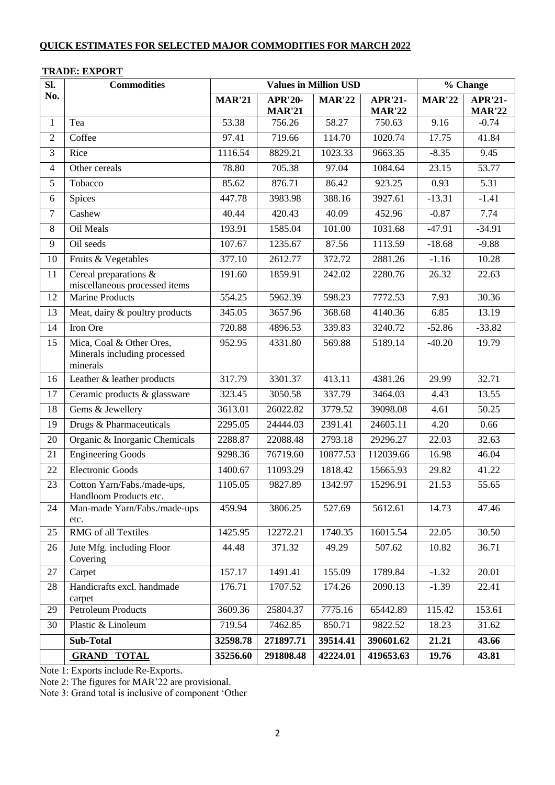| SI.            | <b>Commodities</b>                                                   |               | <b>Values in Million USD</b> | % Change      |                |               |                |
|----------------|----------------------------------------------------------------------|---------------|------------------------------|---------------|----------------|---------------|----------------|
| No.            |                                                                      | <b>MAR'21</b> | <b>APR'20-</b>               | <b>MAR'22</b> | <b>APR'21-</b> | <b>MAR'22</b> | <b>APR'21-</b> |
|                |                                                                      |               | <b>MAR'21</b>                |               | <b>MAR'22</b>  |               | <b>MAR'22</b>  |
| 1              | Tea                                                                  | 53.38         | 756.26                       | 58.27         | 750.63         | 9.16          | $-0.74$        |
| $\overline{2}$ | Coffee                                                               | 97.41         | 719.66                       | 114.70        | 1020.74        | 17.75         | 41.84          |
| 3              | Rice                                                                 | 1116.54       | 8829.21                      | 1023.33       | 9663.35        | $-8.35$       | 9.45           |
| $\overline{4}$ | Other cereals                                                        | 78.80         | 705.38                       | 97.04         | 1084.64        | 23.15         | 53.77          |
| 5              | Tobacco                                                              | 85.62         | 876.71                       | 86.42         | 923.25         | 0.93          | 5.31           |
| 6              | Spices                                                               | 447.78        | 3983.98                      | 388.16        | 3927.61        | $-13.31$      | $-1.41$        |
| $\overline{7}$ | Cashew                                                               | 40.44         | 420.43                       | 40.09         | 452.96         | $-0.87$       | 7.74           |
| $8\,$          | Oil Meals                                                            | 193.91        | 1585.04                      | 101.00        | 1031.68        | $-47.91$      | $-34.91$       |
| 9              | Oil seeds                                                            | 107.67        | 1235.67                      | 87.56         | 1113.59        | $-18.68$      | $-9.88$        |
| 10             | Fruits & Vegetables                                                  | 377.10        | 2612.77                      | 372.72        | 2881.26        | $-1.16$       | 10.28          |
| 11             | Cereal preparations &<br>miscellaneous processed items               | 191.60        | 1859.91                      | 242.02        | 2280.76        | 26.32         | 22.63          |
| 12             | <b>Marine Products</b>                                               | 554.25        | 5962.39                      | 598.23        | 7772.53        | 7.93          | 30.36          |
| 13             | Meat, dairy & poultry products                                       | 345.05        | 3657.96                      | 368.68        | 4140.36        | 6.85          | 13.19          |
| 14             | Iron Ore                                                             | 720.88        | 4896.53                      | 339.83        | 3240.72        | $-52.86$      | $-33.82$       |
| 15             | Mica, Coal & Other Ores,<br>Minerals including processed<br>minerals | 952.95        | 4331.80                      | 569.88        | 5189.14        | $-40.20$      | 19.79          |
| 16             | Leather & leather products                                           | 317.79        | 3301.37                      | 413.11        | 4381.26        | 29.99         | 32.71          |
| 17             | Ceramic products & glassware                                         | 323.45        | 3050.58                      | 337.79        | 3464.03        | 4.43          | 13.55          |
| 18             | Gems & Jewellery                                                     | 3613.01       | 26022.82                     | 3779.52       | 39098.08       | 4.61          | 50.25          |
| 19             | Drugs & Pharmaceuticals                                              | 2295.05       | 24444.03                     | 2391.41       | 24605.11       | 4.20          | 0.66           |
| 20             | Organic & Inorganic Chemicals                                        | 2288.87       | 22088.48                     | 2793.18       | 29296.27       | 22.03         | 32.63          |
| 21             | <b>Engineering Goods</b>                                             | 9298.36       | 76719.60                     | 10877.53      | 112039.66      | 16.98         | 46.04          |
| 22             | <b>Electronic Goods</b>                                              | 1400.67       | 11093.29                     | 1818.42       | 15665.93       | 29.82         | 41.22          |
| 23             | Cotton Yarn/Fabs./made-ups,<br>Handloom Products etc.                | 1105.05       | 9827.89                      | 1342.97       | 15296.91       | 21.53         | 55.65          |
| 24             | Man-made Yarn/Fabs./made-ups<br>etc.                                 | 459.94        | 3806.25                      | 527.69        | 5612.61        | 14.73         | 47.46          |
| 25             | <b>RMG</b> of all Textiles                                           | 1425.95       | 12272.21                     | 1740.35       | 16015.54       | 22.05         | 30.50          |
| 26             | Jute Mfg. including Floor<br>Covering                                | 44.48         | 371.32                       | 49.29         | 507.62         | 10.82         | 36.71          |
| 27             | Carpet                                                               | 157.17        | 1491.41                      | 155.09        | 1789.84        | $-1.32$       | 20.01          |
| 28             | Handicrafts excl. handmade<br>carpet                                 | 176.71        | 1707.52                      | 174.26        | 2090.13        | $-1.39$       | 22.41          |
| 29             | <b>Petroleum Products</b>                                            | 3609.36       | 25804.37                     | 7775.16       | 65442.89       | 115.42        | 153.61         |
| 30             | Plastic & Linoleum                                                   | 719.54        | 7462.85                      | 850.71        | 9822.52        | 18.23         | 31.62          |
|                | <b>Sub-Total</b>                                                     | 32598.78      | 271897.71                    | 39514.41      | 390601.62      | 21.21         | 43.66          |
|                | <b>GRAND TOTAL</b>                                                   | 35256.60      | 291808.48                    | 42224.01      | 419653.63      | 19.76         | 43.81          |

### **TRADE: EXPORT**

Note 1: Exports include Re-Exports.

Note 2: The figures for MAR'22 are provisional.

Note 3: Grand total is inclusive of component 'Other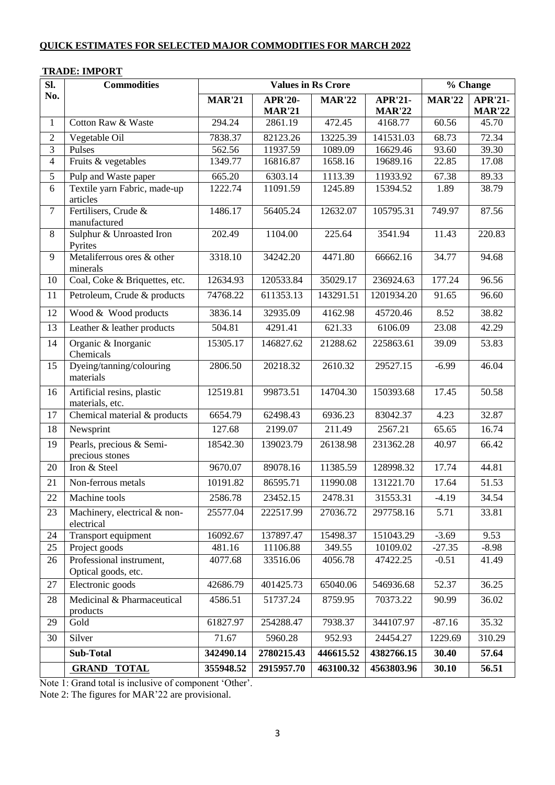| Sl.            | тилре, еле опт<br><b>Commodities</b>            | <b>Values in Rs Crore</b> |                                 |               |                                 | % Change      |                                 |  |
|----------------|-------------------------------------------------|---------------------------|---------------------------------|---------------|---------------------------------|---------------|---------------------------------|--|
| No.            |                                                 | <b>MAR'21</b>             | <b>APR'20-</b><br><b>MAR'21</b> | <b>MAR'22</b> | <b>APR'21-</b><br><b>MAR'22</b> | <b>MAR'22</b> | <b>APR'21-</b><br><b>MAR'22</b> |  |
| $\mathbf{1}$   | Cotton Raw & Waste                              | 294.24                    | 2861.19                         | 472.45        | 4168.77                         | 60.56         | 45.70                           |  |
| $\overline{2}$ | Vegetable Oil                                   | 7838.37                   | 82123.26                        | 13225.39      | 141531.03                       | 68.73         | 72.34                           |  |
| 3              | Pulses                                          | 562.56                    | 11937.59                        | 1089.09       | 16629.46                        | 93.60         | 39.30                           |  |
| $\overline{4}$ | Fruits & vegetables                             | 1349.77                   | 16816.87                        | 1658.16       | 19689.16                        | 22.85         | 17.08                           |  |
| 5              | Pulp and Waste paper                            | 665.20                    | 6303.14                         | 1113.39       | 11933.92                        | 67.38         | 89.33                           |  |
| 6              | Textile yarn Fabric, made-up<br>articles        | 1222.74                   | 11091.59                        | 1245.89       | 15394.52                        | 1.89          | 38.79                           |  |
| $\overline{7}$ | Fertilisers, Crude &<br>manufactured            | 1486.17                   | 56405.24                        | 12632.07      | 105795.31                       | 749.97        | 87.56                           |  |
| 8              | Sulphur & Unroasted Iron<br>Pyrites             | 202.49                    | 1104.00                         | 225.64        | 3541.94                         | 11.43         | 220.83                          |  |
| 9              | Metaliferrous ores & other<br>minerals          | 3318.10                   | 34242.20                        | 4471.80       | 66662.16                        | 34.77         | 94.68                           |  |
| 10             | Coal, Coke & Briquettes, etc.                   | 12634.93                  | 120533.84                       | 35029.17      | 236924.63                       | 177.24        | 96.56                           |  |
| 11             | Petroleum, Crude & products                     | 74768.22                  | 611353.13                       | 143291.51     | 1201934.20                      | 91.65         | 96.60                           |  |
| 12             | Wood & Wood products                            | 3836.14                   | 32935.09                        | 4162.98       | 45720.46                        | 8.52          | 38.82                           |  |
| 13             | Leather & leather products                      | 504.81                    | 4291.41                         | 621.33        | 6106.09                         | 23.08         | 42.29                           |  |
| 14             | Organic & Inorganic<br>Chemicals                | 15305.17                  | 146827.62                       | 21288.62      | 225863.61                       | 39.09         | 53.83                           |  |
| 15             | Dyeing/tanning/colouring<br>materials           | 2806.50                   | 20218.32                        | 2610.32       | 29527.15                        | $-6.99$       | 46.04                           |  |
| 16             | Artificial resins, plastic<br>materials, etc.   | 12519.81                  | 99873.51                        | 14704.30      | 150393.68                       | 17.45         | 50.58                           |  |
| 17             | Chemical material & products                    | 6654.79                   | 62498.43                        | 6936.23       | 83042.37                        | 4.23          | 32.87                           |  |
| 18             | Newsprint                                       | 127.68                    | 2199.07                         | 211.49        | 2567.21                         | 65.65         | 16.74                           |  |
| 19             | Pearls, precious & Semi-<br>precious stones     | 18542.30                  | 139023.79                       | 26138.98      | 231362.28                       | 40.97         | 66.42                           |  |
| 20             | Iron & Steel                                    | 9670.07                   | 89078.16                        | 11385.59      | 128998.32                       | 17.74         | 44.81                           |  |
| 21             | Non-ferrous metals                              | 10191.82                  | 86595.71                        | 11990.08      | 131221.70                       | 17.64         | 51.53                           |  |
| 22             | Machine tools                                   | 2586.78                   | 23452.15                        | 2478.31       | 31553.31                        | $-4.19$       | 34.54                           |  |
| 23             | Machinery, electrical & non-<br>electrical      | 25577.04                  | 222517.99                       | 27036.72      | 297758.16                       | 5.71          | 33.81                           |  |
| 24             | Transport equipment                             | 16092.67                  | 137897.47                       | 15498.37      | 151043.29                       | $-3.69$       | 9.53                            |  |
| 25             | Project goods                                   | 481.16                    | 11106.88                        | 349.55        | 10109.02                        | $-27.35$      | $-8.98$                         |  |
| 26             | Professional instrument,<br>Optical goods, etc. | 4077.68                   | 33516.06                        | 4056.78       | 47422.25                        | $-0.51$       | 41.49                           |  |
| 27             | Electronic goods                                | 42686.79                  | 401425.73                       | 65040.06      | 546936.68                       | 52.37         | 36.25                           |  |
| 28             | Medicinal & Pharmaceutical<br>products          | 4586.51                   | 51737.24                        | 8759.95       | 70373.22                        | 90.99         | 36.02                           |  |
| 29             | Gold                                            | 61827.97                  | 254288.47                       | 7938.37       | 344107.97                       | $-87.16$      | 35.32                           |  |
| 30             | Silver                                          | 71.67                     | 5960.28                         | 952.93        | 24454.27                        | 1229.69       | 310.29                          |  |
|                | <b>Sub-Total</b>                                | 342490.14                 | 2780215.43                      | 446615.52     | 4382766.15                      | 30.40         | 57.64                           |  |
|                | <b>GRAND TOTAL</b>                              | 355948.52                 | 2915957.70                      | 463100.32     | 4563803.96                      | 30.10         | 56.51                           |  |

Note 1: Grand total is inclusive of component 'Other'.

Note 2: The figures for MAR'22 are provisional.